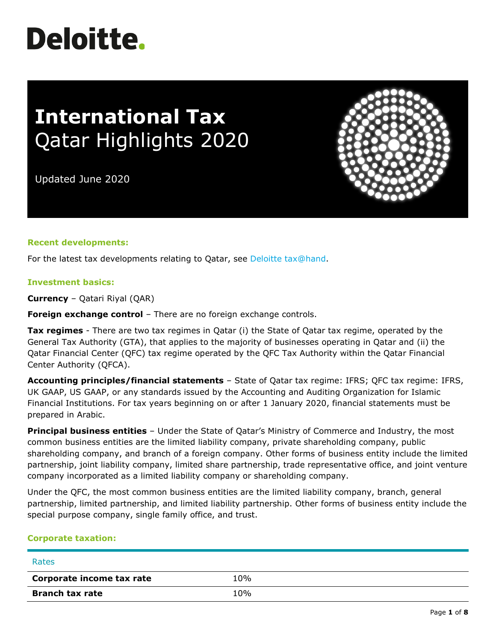# **Deloitte.**

## **International Tax** Qatar Highlights 2020

Updated June 2020

#### **Recent developments:**

For the latest tax developments relating to Qatar, see [Deloitte tax@hand.](https://www.taxathand.com/world-news/Qatar)

#### **Investment basics:**

**Currency** – Qatari Riyal (QAR)

**Foreign exchange control** – There are no foreign exchange controls.

**Tax regimes** - There are two tax regimes in Qatar (i) the State of Qatar tax regime, operated by the General Tax Authority (GTA), that applies to the majority of businesses operating in Qatar and (ii) the Qatar Financial Center (QFC) tax regime operated by the QFC Tax Authority within the Qatar Financial Center Authority (QFCA).

**Accounting principles/financial statements** – State of Qatar tax regime: IFRS; QFC tax regime: IFRS, UK GAAP, US GAAP, or any standards issued by the Accounting and Auditing Organization for Islamic Financial Institutions. For tax years beginning on or after 1 January 2020, financial statements must be prepared in Arabic.

**Principal business entities** – Under the State of Qatar's Ministry of Commerce and Industry, the most common business entities are the limited liability company, private shareholding company, public shareholding company, and branch of a foreign company. Other forms of business entity include the limited partnership, joint liability company, limited share partnership, trade representative office, and joint venture company incorporated as a limited liability company or shareholding company.

Under the QFC, the most common business entities are the limited liability company, branch, general partnership, limited partnership, and limited liability partnership. Other forms of business entity include the special purpose company, single family office, and trust.

#### **Corporate taxation:**

| Rates                     |     |
|---------------------------|-----|
| Corporate income tax rate | 10% |
| <b>Branch tax rate</b>    | 10% |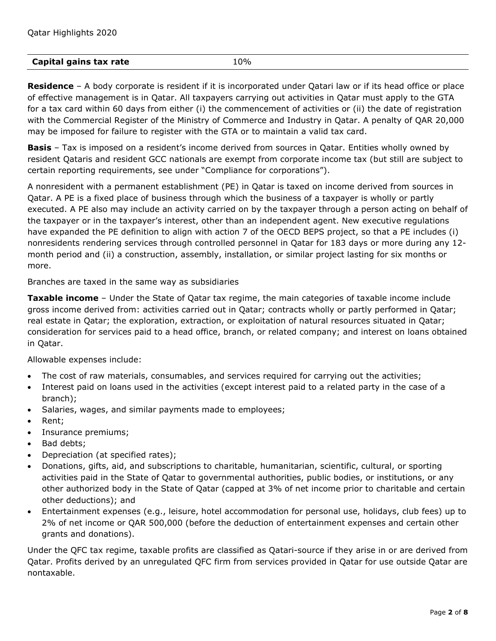### **Capital gains tax rate** 10%

**Residence** – A body corporate is resident if it is incorporated under Qatari law or if its head office or place of effective management is in Qatar. All taxpayers carrying out activities in Qatar must apply to the GTA for a tax card within 60 days from either (i) the commencement of activities or (ii) the date of registration with the Commercial Register of the Ministry of Commerce and Industry in Qatar. A penalty of QAR 20,000 may be imposed for failure to register with the GTA or to maintain a valid tax card.

**Basis** – Tax is imposed on a resident's income derived from sources in Qatar. Entities wholly owned by resident Qataris and resident GCC nationals are exempt from corporate income tax (but still are subject to certain reporting requirements, see under "Compliance for corporations").

A nonresident with a permanent establishment (PE) in Qatar is taxed on income derived from sources in Qatar. A PE is a fixed place of business through which the business of a taxpayer is wholly or partly executed. A PE also may include an activity carried on by the taxpayer through a person acting on behalf of the taxpayer or in the taxpayer's interest, other than an independent agent. New executive regulations have expanded the PE definition to align with action 7 of the OECD BEPS project, so that a PE includes (i) nonresidents rendering services through controlled personnel in Qatar for 183 days or more during any 12 month period and (ii) a construction, assembly, installation, or similar project lasting for six months or more.

Branches are taxed in the same way as subsidiaries

**Taxable income** – Under the State of Qatar tax regime, the main categories of taxable income include gross income derived from: activities carried out in Qatar; contracts wholly or partly performed in Qatar; real estate in Qatar; the exploration, extraction, or exploitation of natural resources situated in Qatar; consideration for services paid to a head office, branch, or related company; and interest on loans obtained in Qatar.

#### Allowable expenses include:

- The cost of raw materials, consumables, and services required for carrying out the activities;
- Interest paid on loans used in the activities (except interest paid to a related party in the case of a branch);
- Salaries, wages, and similar payments made to employees;
- Rent;
- Insurance premiums;
- Bad debts;
- Depreciation (at specified rates);
- Donations, gifts, aid, and subscriptions to charitable, humanitarian, scientific, cultural, or sporting activities paid in the State of Qatar to governmental authorities, public bodies, or institutions, or any other authorized body in the State of Qatar (capped at 3% of net income prior to charitable and certain other deductions); and
- Entertainment expenses (e.g., leisure, hotel accommodation for personal use, holidays, club fees) up to 2% of net income or QAR 500,000 (before the deduction of entertainment expenses and certain other grants and donations).

Under the QFC tax regime, taxable profits are classified as Qatari-source if they arise in or are derived from Qatar. Profits derived by an unregulated QFC firm from services provided in Qatar for use outside Qatar are nontaxable.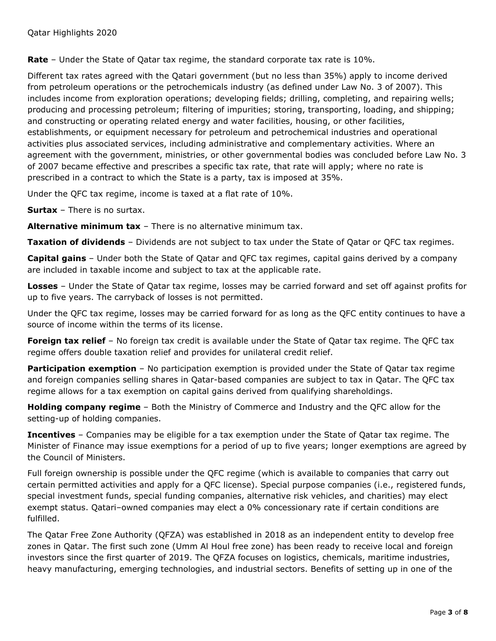**Rate** – Under the State of Qatar tax regime, the standard corporate tax rate is 10%.

Different tax rates agreed with the Qatari government (but no less than 35%) apply to income derived from petroleum operations or the petrochemicals industry (as defined under Law No. 3 of 2007). This includes income from exploration operations; developing fields; drilling, completing, and repairing wells; producing and processing petroleum; filtering of impurities; storing, transporting, loading, and shipping; and constructing or operating related energy and water facilities, housing, or other facilities, establishments, or equipment necessary for petroleum and petrochemical industries and operational activities plus associated services, including administrative and complementary activities. Where an agreement with the government, ministries, or other governmental bodies was concluded before Law No. 3 of 2007 became effective and prescribes a specific tax rate, that rate will apply; where no rate is prescribed in a contract to which the State is a party, tax is imposed at 35%.

Under the QFC tax regime, income is taxed at a flat rate of 10%.

**Surtax** – There is no surtax.

**Alternative minimum tax** – There is no alternative minimum tax.

**Taxation of dividends** – Dividends are not subject to tax under the State of Qatar or QFC tax regimes.

**Capital gains** – Under both the State of Qatar and QFC tax regimes, capital gains derived by a company are included in taxable income and subject to tax at the applicable rate.

**Losses** – Under the State of Qatar tax regime, losses may be carried forward and set off against profits for up to five years. The carryback of losses is not permitted.

Under the QFC tax regime, losses may be carried forward for as long as the QFC entity continues to have a source of income within the terms of its license.

**Foreign tax relief** – No foreign tax credit is available under the State of Qatar tax regime. The QFC tax regime offers double taxation relief and provides for unilateral credit relief.

**Participation exemption** – No participation exemption is provided under the State of Qatar tax regime and foreign companies selling shares in Qatar-based companies are subject to tax in Qatar. The QFC tax regime allows for a tax exemption on capital gains derived from qualifying shareholdings.

**Holding company regime** – Both the Ministry of Commerce and Industry and the QFC allow for the setting-up of holding companies.

**Incentives** – Companies may be eligible for a tax exemption under the State of Qatar tax regime. The Minister of Finance may issue exemptions for a period of up to five years; longer exemptions are agreed by the Council of Ministers.

Full foreign ownership is possible under the QFC regime (which is available to companies that carry out certain permitted activities and apply for a QFC license). Special purpose companies (i.e., registered funds, special investment funds, special funding companies, alternative risk vehicles, and charities) may elect exempt status. Qatari–owned companies may elect a 0% concessionary rate if certain conditions are fulfilled.

The Qatar Free Zone Authority (QFZA) was established in 2018 as an independent entity to develop free zones in Qatar. The first such zone (Umm Al Houl free zone) has been ready to receive local and foreign investors since the first quarter of 2019. The QFZA focuses on logistics, chemicals, maritime industries, heavy manufacturing, emerging technologies, and industrial sectors. Benefits of setting up in one of the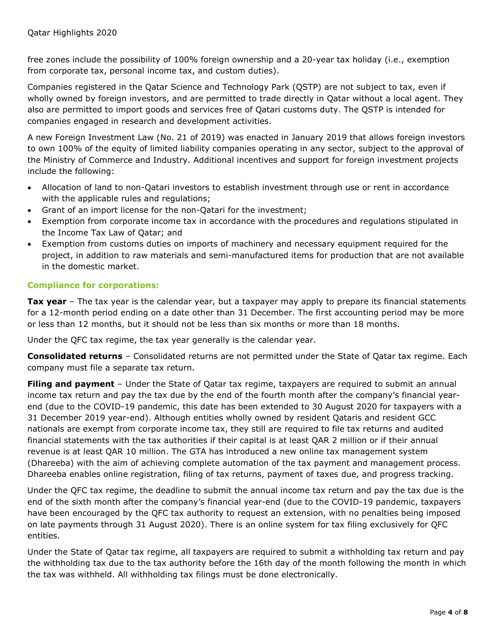free zones include the possibility of 100% foreign ownership and a 20-year tax holiday (i.e., exemption from corporate tax, personal income tax, and custom duties).

Companies registered in the Qatar Science and Technology Park (QSTP) are not subject to tax, even if wholly owned by foreign investors, and are permitted to trade directly in Qatar without a local agent. They also are permitted to import goods and services free of Qatari customs duty. The QSTP is intended for companies engaged in research and development activities.

A new Foreign Investment Law (No. 21 of 2019) was enacted in January 2019 that allows foreign investors to own 100% of the equity of limited liability companies operating in any sector, subject to the approval of the Ministry of Commerce and Industry. Additional incentives and support for foreign investment projects include the following:

- Allocation of land to non-Qatari investors to establish investment through use or rent in accordance with the applicable rules and regulations;
- Grant of an import license for the non-Qatari for the investment;
- Exemption from corporate income tax in accordance with the procedures and regulations stipulated in the Income Tax Law of Qatar; and
- Exemption from customs duties on imports of machinery and necessary equipment required for the project, in addition to raw materials and semi-manufactured items for production that are not available in the domestic market.

#### **Compliance for corporations:**

**Tax year** – The tax year is the calendar year, but a taxpayer may apply to prepare its financial statements for a 12-month period ending on a date other than 31 December. The first accounting period may be more or less than 12 months, but it should not be less than six months or more than 18 months.

Under the QFC tax regime, the tax year generally is the calendar year.

**Consolidated returns** – Consolidated returns are not permitted under the State of Qatar tax regime. Each company must file a separate tax return.

**Filing and payment** – Under the State of Qatar tax regime, taxpayers are required to submit an annual income tax return and pay the tax due by the end of the fourth month after the company's financial yearend (due to the COVID-19 pandemic, this date has been extended to 30 August 2020 for taxpayers with a 31 December 2019 year-end). Although entities wholly owned by resident Qataris and resident GCC nationals are exempt from corporate income tax, they still are required to file tax returns and audited financial statements with the tax authorities if their capital is at least QAR 2 million or if their annual revenue is at least QAR 10 million. The GTA has introduced a new online tax management system (Dhareeba) with the aim of achieving complete automation of the tax payment and management process. Dhareeba enables online registration, filing of tax returns, payment of taxes due, and progress tracking.

Under the QFC tax regime, the deadline to submit the annual income tax return and pay the tax due is the end of the sixth month after the company's financial year-end (due to the COVID-19 pandemic, taxpayers have been encouraged by the QFC tax authority to request an extension, with no penalties being imposed on late payments through 31 August 2020). There is an online system for tax filing exclusively for QFC entities.

Under the State of Qatar tax regime, all taxpayers are required to submit a withholding tax return and pay the withholding tax due to the tax authority before the 16th day of the month following the month in which the tax was withheld. All withholding tax filings must be done electronically.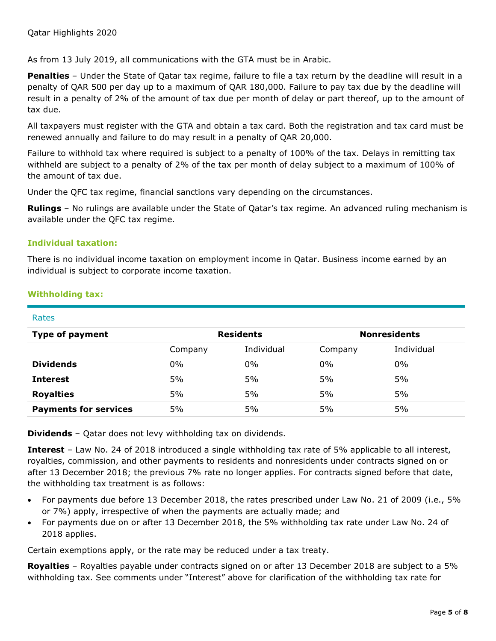As from 13 July 2019, all communications with the GTA must be in Arabic.

**Penalties** – Under the State of Qatar tax regime, failure to file a tax return by the deadline will result in a penalty of QAR 500 per day up to a maximum of QAR 180,000. Failure to pay tax due by the deadline will result in a penalty of 2% of the amount of tax due per month of delay or part thereof, up to the amount of tax due.

All taxpayers must register with the GTA and obtain a tax card. Both the registration and tax card must be renewed annually and failure to do may result in a penalty of QAR 20,000.

Failure to withhold tax where required is subject to a penalty of 100% of the tax. Delays in remitting tax withheld are subject to a penalty of 2% of the tax per month of delay subject to a maximum of 100% of the amount of tax due.

Under the QFC tax regime, financial sanctions vary depending on the circumstances.

**Rulings** – No rulings are available under the State of Qatar's tax regime. An advanced ruling mechanism is available under the QFC tax regime.

#### **Individual taxation:**

There is no individual income taxation on employment income in Qatar. Business income earned by an individual is subject to corporate income taxation.

| Rates                        |                  |            |                     |            |
|------------------------------|------------------|------------|---------------------|------------|
| <b>Type of payment</b>       | <b>Residents</b> |            | <b>Nonresidents</b> |            |
|                              | Company          | Individual | Company             | Individual |
| <b>Dividends</b>             | $0\%$            | 0%         | 0%                  | 0%         |
| <b>Interest</b>              | 5%               | 5%         | 5%                  | 5%         |
| <b>Royalties</b>             | 5%               | 5%         | 5%                  | 5%         |
| <b>Payments for services</b> | 5%               | 5%         | 5%                  | 5%         |

#### **Withholding tax:**

**Dividends** – Qatar does not levy withholding tax on dividends.

**Interest** – Law No. 24 of 2018 introduced a single withholding tax rate of 5% applicable to all interest, royalties, commission, and other payments to residents and nonresidents under contracts signed on or after 13 December 2018; the previous 7% rate no longer applies. For contracts signed before that date, the withholding tax treatment is as follows:

- For payments due before 13 December 2018, the rates prescribed under Law No. 21 of 2009 (i.e., 5% or 7%) apply, irrespective of when the payments are actually made; and
- For payments due on or after 13 December 2018, the 5% withholding tax rate under Law No. 24 of 2018 applies.

Certain exemptions apply, or the rate may be reduced under a tax treaty.

**Royalties** – Royalties payable under contracts signed on or after 13 December 2018 are subject to a 5% withholding tax. See comments under "Interest" above for clarification of the withholding tax rate for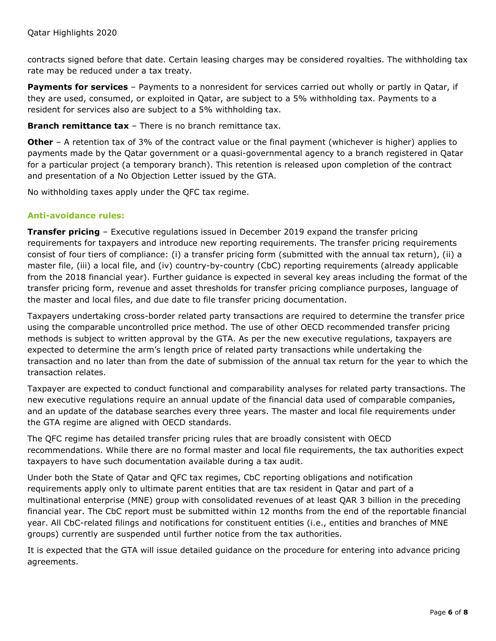contracts signed before that date. Certain leasing charges may be considered royalties. The withholding tax rate may be reduced under a tax treaty.

**Payments for services** – Payments to a nonresident for services carried out wholly or partly in Oatar, if they are used, consumed, or exploited in Qatar, are subject to a 5% withholding tax. Payments to a resident for services also are subject to a 5% withholding tax.

**Branch remittance tax** – There is no branch remittance tax.

**Other** - A retention tax of 3% of the contract value or the final payment (whichever is higher) applies to payments made by the Qatar government or a quasi-governmental agency to a branch registered in Qatar for a particular project (a temporary branch). This retention is released upon completion of the contract and presentation of a No Objection Letter issued by the GTA.

No withholding taxes apply under the QFC tax regime.

#### **Anti-avoidance rules:**

**Transfer pricing** – Executive regulations issued in December 2019 expand the transfer pricing requirements for taxpayers and introduce new reporting requirements. The transfer pricing requirements consist of four tiers of compliance: (i) a transfer pricing form (submitted with the annual tax return), (ii) a master file, (iii) a local file, and (iv) country-by-country (CbC) reporting requirements (already applicable from the 2018 financial year). Further guidance is expected in several key areas including the format of the transfer pricing form, revenue and asset thresholds for transfer pricing compliance purposes, language of the master and local files, and due date to file transfer pricing documentation.

Taxpayers undertaking cross-border related party transactions are required to determine the transfer price using the comparable uncontrolled price method. The use of other OECD recommended transfer pricing methods is subject to written approval by the GTA. As per the new executive regulations, taxpayers are expected to determine the arm's length price of related party transactions while undertaking the transaction and no later than from the date of submission of the annual tax return for the year to which the transaction relates.

Taxpayer are expected to conduct functional and comparability analyses for related party transactions. The new executive regulations require an annual update of the financial data used of comparable companies, and an update of the database searches every three years. The master and local file requirements under the GTA regime are aligned with OECD standards.

The QFC regime has detailed transfer pricing rules that are broadly consistent with OECD recommendations. While there are no formal master and local file requirements, the tax authorities expect taxpayers to have such documentation available during a tax audit.

Under both the State of Qatar and QFC tax regimes, CbC reporting obligations and notification requirements apply only to ultimate parent entities that are tax resident in Qatar and part of a multinational enterprise (MNE) group with consolidated revenues of at least QAR 3 billion in the preceding financial year. The CbC report must be submitted within 12 months from the end of the reportable financial year. All CbC-related filings and notifications for constituent entities (i.e., entities and branches of MNE groups) currently are suspended until further notice from the tax authorities.

It is expected that the GTA will issue detailed guidance on the procedure for entering into advance pricing agreements.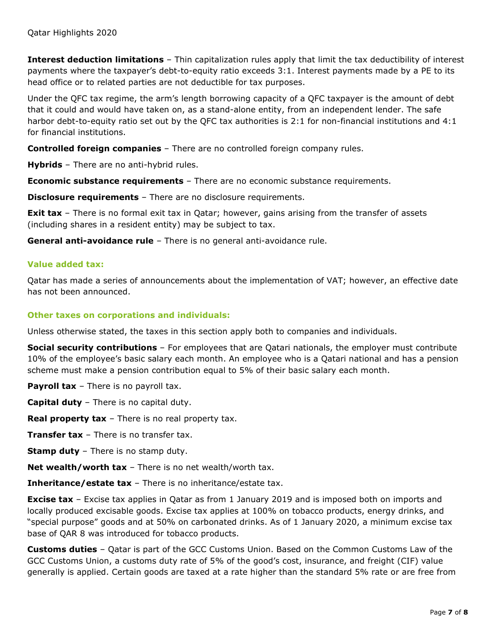**Interest deduction limitations** – Thin capitalization rules apply that limit the tax deductibility of interest payments where the taxpayer's debt-to-equity ratio exceeds 3:1. Interest payments made by a PE to its head office or to related parties are not deductible for tax purposes.

Under the QFC tax regime, the arm's length borrowing capacity of a QFC taxpayer is the amount of debt that it could and would have taken on, as a stand-alone entity, from an independent lender. The safe harbor debt-to-equity ratio set out by the QFC tax authorities is 2:1 for non-financial institutions and 4:1 for financial institutions.

**Controlled foreign companies** – There are no controlled foreign company rules.

**Hybrids** – There are no anti-hybrid rules.

**Economic substance requirements** – There are no economic substance requirements.

**Disclosure requirements** – There are no disclosure requirements.

**Exit tax** – There is no formal exit tax in Qatar; however, gains arising from the transfer of assets (including shares in a resident entity) may be subject to tax.

**General anti-avoidance rule** – There is no general anti-avoidance rule.

#### **Value added tax:**

Qatar has made a series of announcements about the implementation of VAT; however, an effective date has not been announced.

#### **Other taxes on corporations and individuals:**

Unless otherwise stated, the taxes in this section apply both to companies and individuals.

**Social security contributions** – For employees that are Qatari nationals, the employer must contribute 10% of the employee's basic salary each month. An employee who is a Qatari national and has a pension scheme must make a pension contribution equal to 5% of their basic salary each month.

**Payroll tax** – There is no payroll tax.

**Capital duty** – There is no capital duty.

**Real property tax** – There is no real property tax.

**Transfer tax** – There is no transfer tax.

**Stamp duty** – There is no stamp duty.

**Net wealth/worth tax** – There is no net wealth/worth tax.

**Inheritance/estate tax** – There is no inheritance/estate tax.

**Excise tax** – Excise tax applies in Qatar as from 1 January 2019 and is imposed both on imports and locally produced excisable goods. Excise tax applies at 100% on tobacco products, energy drinks, and "special purpose" goods and at 50% on carbonated drinks. As of 1 January 2020, a minimum excise tax base of QAR 8 was introduced for tobacco products.

**Customs duties** – Qatar is part of the GCC Customs Union. Based on the Common Customs Law of the GCC Customs Union, a customs duty rate of 5% of the good's cost, insurance, and freight (CIF) value generally is applied. Certain goods are taxed at a rate higher than the standard 5% rate or are free from